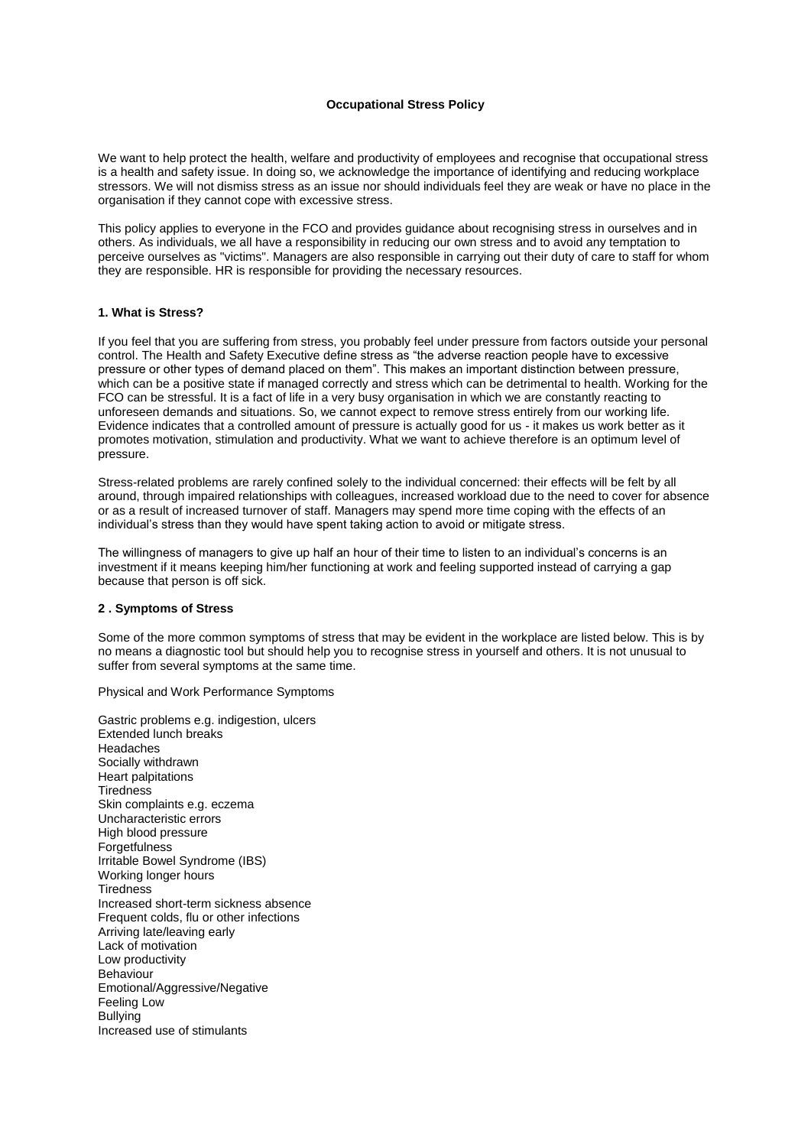## **Occupational Stress Policy**

We want to help protect the health, welfare and productivity of employees and recognise that occupational stress is a health and safety issue. In doing so, we acknowledge the importance of identifying and reducing workplace stressors. We will not dismiss stress as an issue nor should individuals feel they are weak or have no place in the organisation if they cannot cope with excessive stress.

This policy applies to everyone in the FCO and provides guidance about recognising stress in ourselves and in others. As individuals, we all have a responsibility in reducing our own stress and to avoid any temptation to perceive ourselves as "victims". Managers are also responsible in carrying out their duty of care to staff for whom they are responsible. HR is responsible for providing the necessary resources.

## **1. What is Stress?**

If you feel that you are suffering from stress, you probably feel under pressure from factors outside your personal control. The Health and Safety Executive define stress as "the adverse reaction people have to excessive pressure or other types of demand placed on them". This makes an important distinction between pressure, which can be a positive state if managed correctly and stress which can be detrimental to health. Working for the FCO can be stressful. It is a fact of life in a very busy organisation in which we are constantly reacting to unforeseen demands and situations. So, we cannot expect to remove stress entirely from our working life. Evidence indicates that a controlled amount of pressure is actually good for us - it makes us work better as it promotes motivation, stimulation and productivity. What we want to achieve therefore is an optimum level of pressure.

Stress-related problems are rarely confined solely to the individual concerned: their effects will be felt by all around, through impaired relationships with colleagues, increased workload due to the need to cover for absence or as a result of increased turnover of staff. Managers may spend more time coping with the effects of an individual's stress than they would have spent taking action to avoid or mitigate stress.

The willingness of managers to give up half an hour of their time to listen to an individual's concerns is an investment if it means keeping him/her functioning at work and feeling supported instead of carrying a gap because that person is off sick.

### **2 . Symptoms of Stress**

Some of the more common symptoms of stress that may be evident in the workplace are listed below. This is by no means a diagnostic tool but should help you to recognise stress in yourself and others. It is not unusual to suffer from several symptoms at the same time.

Physical and Work Performance Symptoms

Gastric problems e.g. indigestion, ulcers Extended lunch breaks Headaches Socially withdrawn Heart palpitations **Tiredness** Skin complaints e.g. eczema Uncharacteristic errors High blood pressure Forgetfulness Irritable Bowel Syndrome (IBS) Working longer hours **Tiredness** Increased short-term sickness absence Frequent colds, flu or other infections Arriving late/leaving early Lack of motivation Low productivity Behaviour Emotional/Aggressive/Negative Feeling Low **Bullying** Increased use of stimulants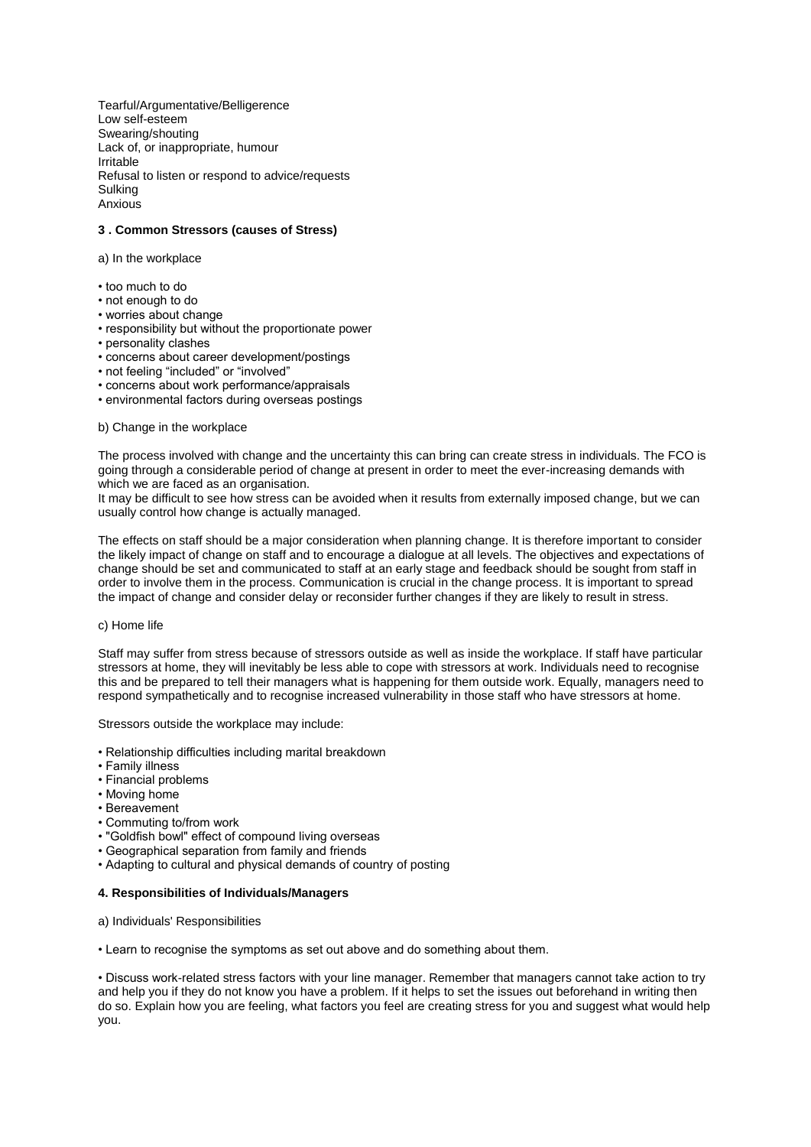Tearful/Argumentative/Belligerence Low self-esteem Swearing/shouting Lack of, or inappropriate, humour Irritable Refusal to listen or respond to advice/requests Sulking Anxious

# **3 . Common Stressors (causes of Stress)**

a) In the workplace

- too much to do
- not enough to do
- worries about change
- responsibility but without the proportionate power
- personality clashes
- concerns about career development/postings
- not feeling "included" or "involved"
- concerns about work performance/appraisals
- environmental factors during overseas postings

#### b) Change in the workplace

The process involved with change and the uncertainty this can bring can create stress in individuals. The FCO is going through a considerable period of change at present in order to meet the ever-increasing demands with which we are faced as an organisation.

It may be difficult to see how stress can be avoided when it results from externally imposed change, but we can usually control how change is actually managed.

The effects on staff should be a major consideration when planning change. It is therefore important to consider the likely impact of change on staff and to encourage a dialogue at all levels. The objectives and expectations of change should be set and communicated to staff at an early stage and feedback should be sought from staff in order to involve them in the process. Communication is crucial in the change process. It is important to spread the impact of change and consider delay or reconsider further changes if they are likely to result in stress.

# c) Home life

Staff may suffer from stress because of stressors outside as well as inside the workplace. If staff have particular stressors at home, they will inevitably be less able to cope with stressors at work. Individuals need to recognise this and be prepared to tell their managers what is happening for them outside work. Equally, managers need to respond sympathetically and to recognise increased vulnerability in those staff who have stressors at home.

Stressors outside the workplace may include:

- Relationship difficulties including marital breakdown
- Family illness
- Financial problems
- Moving home
- Bereavement
- Commuting to/from work
- "Goldfish bowl" effect of compound living overseas
- Geographical separation from family and friends
- Adapting to cultural and physical demands of country of posting

## **4. Responsibilities of Individuals/Managers**

a) Individuals' Responsibilities

• Learn to recognise the symptoms as set out above and do something about them.

• Discuss work-related stress factors with your line manager. Remember that managers cannot take action to try and help you if they do not know you have a problem. If it helps to set the issues out beforehand in writing then do so. Explain how you are feeling, what factors you feel are creating stress for you and suggest what would help you.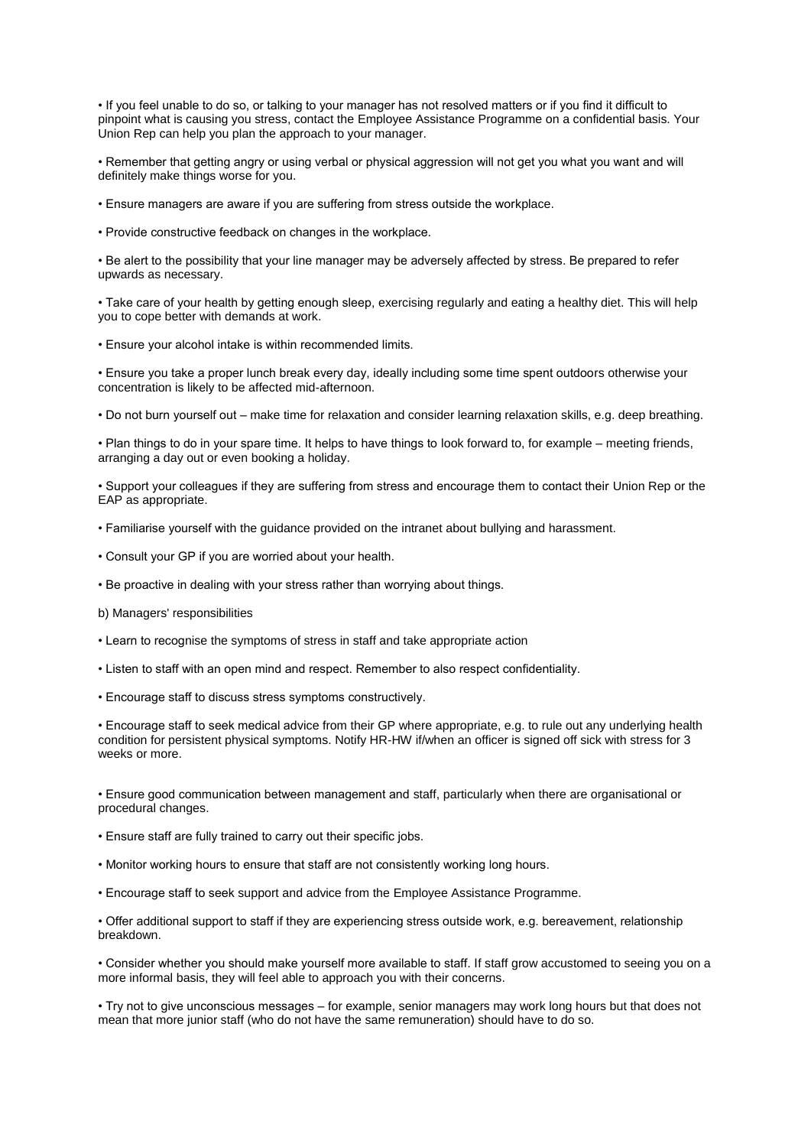• If you feel unable to do so, or talking to your manager has not resolved matters or if you find it difficult to pinpoint what is causing you stress, contact the Employee Assistance Programme on a confidential basis. Your Union Rep can help you plan the approach to your manager.

• Remember that getting angry or using verbal or physical aggression will not get you what you want and will definitely make things worse for you.

• Ensure managers are aware if you are suffering from stress outside the workplace.

• Provide constructive feedback on changes in the workplace.

• Be alert to the possibility that your line manager may be adversely affected by stress. Be prepared to refer upwards as necessary.

• Take care of your health by getting enough sleep, exercising regularly and eating a healthy diet. This will help you to cope better with demands at work.

• Ensure your alcohol intake is within recommended limits.

• Ensure you take a proper lunch break every day, ideally including some time spent outdoors otherwise your concentration is likely to be affected mid-afternoon.

• Do not burn yourself out – make time for relaxation and consider learning relaxation skills, e.g. deep breathing.

• Plan things to do in your spare time. It helps to have things to look forward to, for example – meeting friends, arranging a day out or even booking a holiday.

• Support your colleagues if they are suffering from stress and encourage them to contact their Union Rep or the EAP as appropriate.

- Familiarise yourself with the guidance provided on the intranet about bullying and harassment.
- Consult your GP if you are worried about your health.

• Be proactive in dealing with your stress rather than worrying about things.

- b) Managers' responsibilities
- Learn to recognise the symptoms of stress in staff and take appropriate action
- Listen to staff with an open mind and respect. Remember to also respect confidentiality.
- Encourage staff to discuss stress symptoms constructively.

• Encourage staff to seek medical advice from their GP where appropriate, e.g. to rule out any underlying health condition for persistent physical symptoms. Notify HR-HW if/when an officer is signed off sick with stress for 3 weeks or more.

• Ensure good communication between management and staff, particularly when there are organisational or procedural changes.

• Ensure staff are fully trained to carry out their specific jobs.

- Monitor working hours to ensure that staff are not consistently working long hours.
- Encourage staff to seek support and advice from the Employee Assistance Programme.

• Offer additional support to staff if they are experiencing stress outside work, e.g. bereavement, relationship breakdown.

• Consider whether you should make yourself more available to staff. If staff grow accustomed to seeing you on a more informal basis, they will feel able to approach you with their concerns.

• Try not to give unconscious messages – for example, senior managers may work long hours but that does not mean that more junior staff (who do not have the same remuneration) should have to do so.